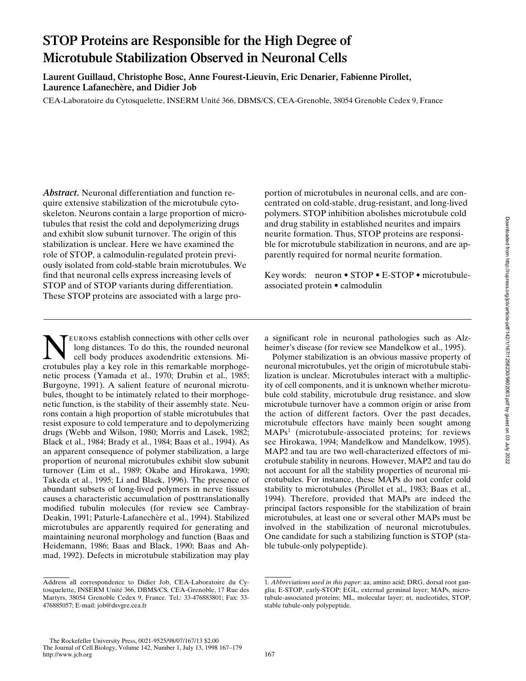# **STOP Proteins are Responsible for the High Degree of Microtubule Stabilization Observed in Neuronal Cells**

**Laurent Guillaud, Christophe Bosc, Anne Fourest-Lieuvin, Eric Denarier, Fabienne Pirollet, Laurence Lafanechère, and Didier Job**

CEA-Laboratoire du Cytosquelette, INSERM Unité 366, DBMS/CS, CEA-Grenoble, 38054 Grenoble Cedex 9, France

*Abstract.* Neuronal differentiation and function require extensive stabilization of the microtubule cytoskeleton. Neurons contain a large proportion of microtubules that resist the cold and depolymerizing drugs and exhibit slow subunit turnover. The origin of this stabilization is unclear. Here we have examined the role of STOP, a calmodulin-regulated protein previously isolated from cold-stable brain microtubules. We find that neuronal cells express increasing levels of STOP and of STOP variants during differentiation. These STOP proteins are associated with a large pro-

**NEURONS establish connections with other cells over**<br>
cell body produces axodendritic extensions. Mi-<br>
crotubules play a key role in this remarkable morphogelong distances. To do this, the rounded neuronal crotubules play a key role in this remarkable morphogenetic process (Yamada et al., 1970; Drubin et al., 1985; Burgoyne, 1991). A salient feature of neuronal microtubules, thought to be intimately related to their morphogenetic function, is the stability of their assembly state. Neurons contain a high proportion of stable microtubules that resist exposure to cold temperature and to depolymerizing drugs (Webb and Wilson, 1980; Morris and Lasek, 1982; Black et al., 1984; Brady et al., 1984; Baas et al., 1994). As an apparent consequence of polymer stabilization, a large proportion of neuronal microtubules exhibit slow subunit turnover (Lim et al., 1989; Okabe and Hirokawa, 1990; Takeda et al., 1995; Li and Black, 1996). The presence of abundant subsets of long-lived polymers in nerve tissues causes a characteristic accumulation of posttranslationally modified tubulin molecules (for review see Cambray-Deakin, 1991; Paturle-Lafanechère et al., 1994). Stabilized microtubules are apparently required for generating and maintaining neuronal morphology and function (Baas and Heidemann, 1986; Baas and Black, 1990; Baas and Ahmad, 1992). Defects in microtubule stabilization may play portion of microtubules in neuronal cells, and are concentrated on cold-stable, drug-resistant, and long-lived polymers. STOP inhibition abolishes microtubule cold and drug stability in established neurites and impairs neurite formation. Thus, STOP proteins are responsible for microtubule stabilization in neurons, and are apparently required for normal neurite formation.

Key words: neuron • STOP • E-STOP • microtubuleassociated protein • calmodulin

a significant role in neuronal pathologies such as Alzheimer's disease (for review see Mandelkow et al., 1995).

Polymer stabilization is an obvious massive property of neuronal microtubules, yet the origin of microtubule stabilization is unclear. Microtubules interact with a multiplicity of cell components, and it is unknown whether microtubule cold stability, microtubule drug resistance, and slow microtubule turnover have a common origin or arise from the action of different factors. Over the past decades, microtubule effectors have mainly been sought among MAPs<sup>1</sup> (microtubule-associated proteins; for reviews see Hirokawa, 1994; Mandelkow and Mandelkow, 1995). MAP2 and tau are two well-characterized effectors of microtubule stability in neurons. However, MAP2 and tau do not account for all the stability properties of neuronal microtubules. For instance, these MAPs do not confer cold stability to microtubules (Pirollet et al., 1983; Baas et al., 1994). Therefore, provided that MAPs are indeed the principal factors responsible for the stabilization of brain microtubules, at least one or several other MAPs must be involved in the stabilization of neuronal microtubules. One candidate for such a stabilizing function is STOP (stable tubule-only polypeptide).

Address all correspondence to Didier Job, CEA-Laboratoire du Cytosquelette, INSERM Unité 366, DBMS/CS, CEA-Grenoble, 17 Rue des Martyrs, 38054 Grenoble Cedex 9, France. Tel.: 33-476883801; Fax: 33- 476885057; E-mail: job@dsvgre.cea.fr

<sup>1.</sup> *Abbreviations used in this paper*: aa, amino acid; DRG, dorsal root ganglia; E-STOP, early-STOP; EGL, external germinal layer; MAPs, microtubule-associated proteins; ML, molecular layer; nt, nucleotides, STOP, stable tubule-only polypeptide.

The Rockefeller University Press, 0021-9525/98/07/167/13 \$2.00 The Journal of Cell Biology, Volume 142, Number 1, July 13, 1998 167–179 http://www.icb.org 167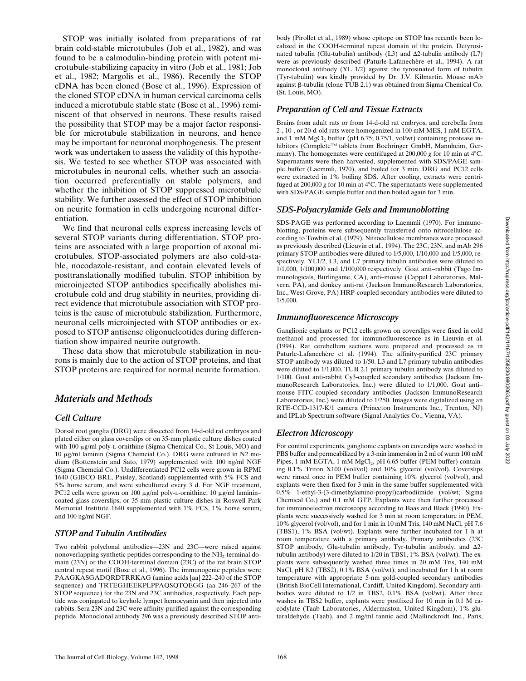STOP was initially isolated from preparations of rat brain cold-stable microtubules (Job et al., 1982), and was found to be a calmodulin-binding protein with potent microtubule-stabilizing capacity in vitro (Job et al., 1981; Job et al., 1982; Margolis et al., 1986). Recently the STOP cDNA has been cloned (Bosc et al., 1996). Expression of the cloned STOP cDNA in human cervical carcinoma cells induced a microtubule stable state (Bosc et al., 1996) reminiscent of that observed in neurons. These results raised the possibility that STOP may be a major factor responsible for microtubule stabilization in neurons, and hence may be important for neuronal morphogenesis. The present work was undertaken to assess the validity of this hypothesis. We tested to see whether STOP was associated with microtubules in neuronal cells, whether such an association occurred preferentially on stable polymers, and whether the inhibition of STOP suppressed microtubule stability. We further assessed the effect of STOP inhibition on neurite formation in cells undergoing neuronal differentiation.

We find that neuronal cells express increasing levels of several STOP variants during differentiation. STOP proteins are associated with a large proportion of axonal microtubules. STOP-associated polymers are also cold-stable, nocodazole-resistant, and contain elevated levels of posttranslationally modified tubulin. STOP inhibition by microinjected STOP antibodies specifically abolishes microtubule cold and drug stability in neurites, providing direct evidence that microtubule association with STOP proteins is the cause of microtubule stabilization. Furthermore, neuronal cells microinjected with STOP antibodies or exposed to STOP antisense oligonucleotides during differentiation show impaired neurite outgrowth.

These data show that microtubule stabilization in neurons is mainly due to the action of STOP proteins, and that STOP proteins are required for normal neurite formation.

## *Materials and Methods*

## *Cell Culture*

Dorsal root ganglia (DRG) were dissected from 14-d-old rat embryos and plated either on glass coverslips or on 35-mm plastic culture dishes coated with 100 µg/ml poly-L-ornithine (Sigma Chemical Co., St Louis, MO) and 10 mg/ml laminin (Sigma Chemcial Co.). DRG were cultured in N2 medium (Bottenstein and Sato, 1979) supplemented with 100 ng/ml NGF (Sigma Chemcial Co.). Undifferentiated PC12 cells were grown in RPMI 1640 (GIBCO BRL, Paisley, Scotland) supplemented with 5% FCS and 5% horse serum, and were subcultured every 3 d. For NGF treatment, PC12 cells were grown on 100  $\mu$ g/ml poly-L-ornithine, 10  $\mu$ g/ml laminin– coated glass coverslips, or 35-mm plastic culture dishes in Roswell Park Memorial Institute 1640 supplemented with 1% FCS, 1% horse serum, and 100 ng/ml NGF.

## *STOP and Tubulin Antibodies*

Two rabbit polyclonal antibodies—23N and 23C—were raised against nonoverlapping synthetic peptides corresponding to the  $NH<sub>2</sub>$ -terminal domain (23N) or the COOH-terminal domain (23C) of the rat brain STOP central repeat motif (Bosc et al., 1996). The immunogenic peptides were PAAGKASGADQRDTRRKAG (amino acids [aa] 222–240 of the STOP sequence) and TRTEGHEEKPLPPAQSQTQEGG (aa 246–267 of the STOP sequence) for the 23N and 23C antibodies, respectively. Each peptide was conjugated to keyhole lympet hemocyanin and then injected into rabbits. Sera 23N and 23C were affinity-purified against the corresponding peptide. Monoclonal antibody 296 was a previously described STOP antibody (Pirollet et al., 1989) whose epitope on STOP has recently been localized in the COOH-terminal repeat domain of the protein. Detyrosinated tubulin (Glu-tubulin) antibody (L3) and  $\Delta$ 2-tubulin antibody (L7) were as previously described (Paturle-Lafanechère et al., 1994). A rat monoclonal antibody (YL 1/2) against the tyrosinated form of tubulin (Tyr-tubulin) was kindly provided by Dr. J.V. Kilmartin. Mouse mAb against b-tubulin (clone TUB 2.1) was obtained from Sigma Chemical Co. (St. Louis, MO).

#### *Preparation of Cell and Tissue Extracts*

Brains from adult rats or from 14-d-old rat embryos, and cerebella from 2-, 10-, or 20-d-old rats were homogenized in 100 mM MES, 1 mM EGTA, and 1 mM  $MgCl<sub>2</sub>$  buffer (pH 6.75; 0.75/1, vol/wt) containing protease inhibitors (Complete™ tablets from Boehringer GmbH, Mannheim, Germany). The homogenates were centrifuged at 200,000 *g* for 10 min at 4°C. Supernatants were then harvested, supplemented with SDS/PAGE sample buffer (Laemmli, 1970), and boiled for 3 min. DRG and PC12 cells were extracted in 1% boiling SDS. After cooling, extracts were centrifuged at 200,000 g for 10 min at 4°C. The supernatants were supplemented with SDS/PAGE sample buffer and then boiled again for 3 min.

#### *SDS-Polyacrylamide Gels and Immunoblotting*

SDS-PAGE was performed according to Laemmli (1970). For immunoblotting, proteins were subsequently transferred onto nitrocellulose according to Towbin et al. (1979). Nitrocellulose membranes were processed as previously described (Lieuvin et al., 1994). The 23C, 23N, and mAb 296 primary STOP antibodies were diluted to 1/5,000, 1/10,000 and 1/5,000, respectively. YL1/2, L3, and L7 primary tubulin antibodies were diluted to 1/1,000, 1/100,000 and 1/100,000 respectively. Goat anti–rabbit (Tago Immunologicals, Burlingame, CA), anti–mouse (Cappel Laboratories, Malvern, PA), and donkey anti-rat (Jackson ImmunoResearch Laboratories, Inc., West Grove, PA) HRP-coupled secondary antibodies were diluted to 1/5,000.

#### *Immunofluorescence Microscopy*

Ganglionic explants or PC12 cells grown on coverslips were fixed in cold methanol and processed for immunofluorescence as in Lieuvin et al. (1994). Rat cerebellum sections were prepared and processed as in Paturle-Lafanechère et al. (1994). The affinity-purified 23C primary STOP antibody was diluted to 1/50. L3 and L7 primary tubulin antibodies were diluted to 1/1,000. TUB 2.1 primary tubulin antibody was diluted to 1/100. Goat anti-rabbit Cy3-coupled secondary antibodies (Jackson ImmunoResearch Laboratories, Inc.) were diluted to 1/1,000. Goat anti– mouse FITC-coupled secondary antibodies (Jackson ImmunoResearch Laboratories, Inc.) were diluted to 1/250. Images were digitalized using an RTE-CCD-1317-K/1 camera (Princeton Instruments Inc., Trenton, NJ) and IPLab Spectrum software (Signal Analytics Co., Vienna, VA).

#### *Electron Microscopy*

For control experiments, ganglionic explants on coverslips were washed in PBS buffer and permeabilized by a 3-min immersion in 2 ml of warm 100 mM Pipes, 1 mM EGTA, 1 mM MgCl<sub>2</sub>, pH 6.65 buffer (PEM buffer) containing 0.1% Triton X100 (vol/vol) and 10% glycerol (vol/vol). Coverslips were rinsed once in PEM buffer containing 10% glycerol (vol/vol), and explants were then fixed for 3 min in the same buffer supplemented with 0.5% 1-ethyl-3-(3-dimethylamino-propyl)carbodiimide (vol/wt; Sigma Chemical Co.) and 0.1 mM GTP. Explants were then further processed for immunoelectron microscopy according to Baas and Black (1990). Explants were successively washed for 3 min at room temperature in PEM, 10% glycerol (vol/vol), and for 1 min in 10 mM Tris, 140 mM NaCl, pH 7.6 (TBS1), 1% BSA (vol/wt). Explants were further incubated for 1 h at room temperature with a primary antibody. Primary antibodies (23C STOP antibody, Glu-tubulin antibody, Tyr-tubulin antibody, and  $\Delta 2$ tubulin antibody) were diluted to 1/20 in TBS1, 1% BSA (vol/wt). The explants were subsequently washed three times in 20 mM Tris, 140 mM NaCl, pH 8.2 (TBS2), 0.1% BSA (vol/wt), and incubated for 1 h at room temperature with appropriate 5-nm gold-coupled secondary antibodies (British BioCell International, Cardiff, United Kingdom). Secondary antibodies were diluted to 1/2 in TBS2, 0.1% BSA (vol/wt). After three washes in TBS2 buffer, explants were postfixed for 10 min in 0.1 M cacodylate (Taab Laboratories, Aldermaston, United Kingdom), 1% glutaraldehyde (Taab), and 2 mg/ml tannic acid (Mallinckrodt Inc., Paris,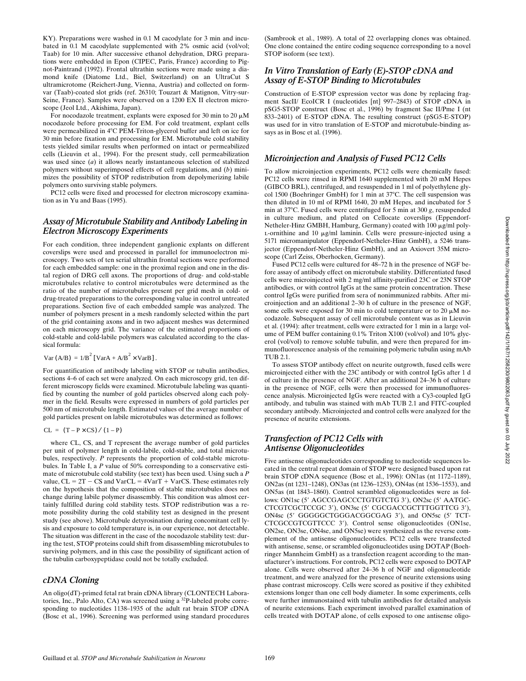KY). Preparations were washed in 0.1 M cacodylate for 3 min and incubated in 0.1 M cacodylate supplemented with 2% osmic acid (vol/vol; Taab) for 10 min. After successive ethanol dehydration, DRG preparations were embedded in Epon (CIPEC, Paris, France) according to Pignot-Paintrand (1992). Frontal ultrathin sections were made using a diamond knife (Diatome Ltd., Biel, Switzerland) on an UltraCut S ultramicrotome (Reichert-Jung, Vienna, Austria) and collected on formvar (Taab)-coated slot grids (ref. 26310; Touzart & Matignon, Vitry-sur-Seine, France). Samples were observed on a 1200 EX II electron microscope (Jeol Ltd., Akishima, Japan).

For nocodazole treatment, explants were exposed for 30 min to 20  $\mu$ M nocodazole before processing for EM. For cold treatment, explant cells were permeabilized in 4°C PEM-Triton-glycerol buffer and left on ice for 30 min before fixation and processing for EM. Microtubule cold stability tests yielded similar results when performed on intact or permeabilized cells (Lieuvin et al., 1994). For the present study, cell permeabilization was used since (*a*) it allows nearly instantaneous selection of stabilized polymers without superimposed effects of cell regulations, and (*b*) minimizes the possibility of STOP redistribution from depolymerizing labile polymers onto surviving stable polymers.

PC12 cells were fixed and processed for electron microscopy examination as in Yu and Baas (1995).

## *Assay of Microtubule Stability and Antibody Labeling in Electron Microscopy Experiments*

For each condition, three independent ganglionic explants on different coverslips were used and processed in parallel for immunoelectron microscopy. Two sets of ten serial ultrathin frontal sections were performed for each embedded sample: one in the proximal region and one in the distal region of DRG cell axons. The proportions of drug- and cold-stable microtubules relative to control microtubules were determined as the ratio of the number of microtubules present per grid mesh in cold- or drug-treated preparations to the corresponding value in control untreated preparations. Section five of each embedded sample was analyzed. The number of polymers present in a mesh randomly selected within the part of the grid containing axons and in two adjacent meshes was determined on each microscopy grid. The variance of the estimated proportions of cold-stable and cold-labile polymers was calculated according to the classical formula:

Var  $(A/B) = 1/B<sup>2</sup>$  [VarA + A/B<sup>2</sup> × VarB].

For quantification of antibody labeling with STOP or tubulin antibodies, sections 4–6 of each set were analyzed. On each microscopy grid, ten different microscopy fields were examined. Microtubule labeling was quantified by counting the number of gold particles observed along each polymer in the field. Results were expressed in numbers of gold particles per 500 nm of microtubule length. Estimated values of the average number of gold particles present on labile microtubules was determined as follows:

 $CL = (T - P \times CS) / (1 - P)$ 

where CL, CS, and T represent the average number of gold particles per unit of polymer length in cold-labile, cold-stable, and total microtubules, respectively. *P* represents the proportion of cold-stable microtubules. In Table I, a *P* value of 50% corresponding to a conservative estimate of microtubule cold stability (see text) has been used. Using such a *P* value,  $CL = 2T - CS$  and  $VarCL = 4VarT + VarCS$ . These estimates rely on the hypothesis that the composition of stable microtubules does not change during labile polymer disassembly. This condition was almost certainly fulfilled during cold stability tests. STOP redistribution was a remote possibility during the cold stability test as designed in the present study (see above). Microtubule detyrosination during concomitant cell lysis and exposure to cold temperature is, in our experience, not detectable. The situation was different in the case of the nocodazole stability test: during the test, STOP proteins could shift from disassembling microtubules to surviving polymers, and in this case the possibility of significant action of the tubulin carboxypeptidase could not be totally excluded.

## *cDNA Cloning*

An oligo(dT)-primed fetal rat brain cDNA library (CLONTECH Laboratories, Inc., Palo Alto, CA) was screened using a 32P-labeled probe corresponding to nucleotides 1138–1935 of the adult rat brain STOP cDNA (Bosc et al., 1996). Screening was performed using standard procedures

(Sambrook et al., 1989). A total of 22 overlapping clones was obtained. One clone contained the entire coding sequence corresponding to a novel STOP isoform (see text).

## *In Vitro Translation of Early (E)-STOP cDNA and Assay of E-STOP Binding to Microtubules*

Construction of E-STOP expression vector was done by replacing fragment SacII/ EcoICR I (nucleotides [nt] 997–2843) of STOP cDNA in pSG5-STOP construct (Bosc et al., 1996) by fragment Sac II/Pme I (nt 833–2401) of E-STOP cDNA. The resulting construct (pSG5-E-STOP) was used for in vitro translation of E-STOP and microtubule-binding assays as in Bosc et al. (1996).

## *Microinjection and Analysis of Fused PC12 Cells*

To allow microinjection experiments, PC12 cells were chemically fused: PC12 cells were rinsed in RPMI 1640 supplemented with 20 mM Hepes (GIBCO BRL), centrifuged, and resuspended in 1 ml of polyethylene glycol 1500 (Boehringer GmbH) for 1 min at 37°C. The cell suspension was then diluted in 10 ml of RPMI 1640, 20 mM Hepes, and incubated for 5 min at 37°C. Fused cells were centrifuged for 5 min at 300 *g*, resuspended in culture medium, and plated on Cellocate coverslips (Eppendorf-Netheler-Hinz GMBH, Hamburg, Germany) coated with 100 µg/ml poly- $L$ -ornithine and 10  $\mu$ g/ml laminin. Cells were pressure-injected using a 5171 micromanipulator (Eppendorf-Netheler-Hinz GmbH), a 5246 transjector (Eppendorf-Netheler-Hinz GmbH), and an Axiovert 35M microscope (Carl Zeiss, Oberhocken, Germany).

Fused PC12 cells were cultured for 48–72 h in the presence of NGF before assay of antibody effect on microtubule stability. Differentiated fused cells were microinjected with 2 mg/ml affinity-purified 23C or 23N STOP antibodies, or with control IgGs at the same protein concentration. These control IgGs were purified from sera of nonimmunized rabbits. After microinjection and an additional 2–30 h of culture in the presence of NGF, some cells were exposed for 30 min to cold temperature or to 20  $\mu$ M nocodazole. Subsequent assay of cell microtubule content was as in Lieuvin et al. (1994): after treatment, cells were extracted for 1 min in a large volume of PEM buffer containing 0.1% Triton X100 (vol/vol) and 10% glycerol (vol/vol) to remove soluble tubulin, and were then prepared for immunofluorescence analysis of the remaining polymeric tubulin using mAb TUB 2.1.

To assess STOP antibody effect on neurite outgrowth, fused cells were microinjected either with the 23C antibody or with control IgGs after 1 d of culture in the presence of NGF. After an additional 24–36 h of culture in the presence of NGF, cells were then processed for immunofluorescence analysis. Microinjected IgGs were reacted with a Cy3-coupled IgG antibody, and tubulin was stained with mAb TUB 2.1 and FITC-coupled secondary antibody. Microinjected and control cells were analyzed for the presence of neurite extensions.

## *Transfection of PC12 Cells with Antisense Oligonucleotides*

Five antisense oligonucleotides corresponding to nucleotide sequences located in the central repeat domain of STOP were designed based upon rat brain STOP cDNA sequence (Bosc et al., 1996): ON1as (nt 1172–1189), ON2as (nt 1231–1248), ON3as (nt 1236–1253), ON4as (nt 1536–1553), and ON5as (nt 1843–1860). Control scrambled oligonucleotides were as follows: ON1sc (5' AGCCGAGCCCTGTGTCTG 3'), ON2sc (5' AATGC-CTCGTCGCTCCGC 3'), ON3sc (5' CGCGACCGCTTTGGTTCG 3'), ON4sc (5' GGGGGCTGGGACGGCGAG 3'), and ON5sc (5' TCT-CTCGCCGTCGTTCCC 3'). Control sense oligonucleotides (ON1se, ON2se, ON3se, ON4se, and ON5se) were synthesized as the reverse complement of the antisense oligonucleotides. PC12 cells were transfected with antisense, sense, or scrambled oligonucleotides using DOTAP (Boehringer Mannheim GmbH) as a transfection reagent according to the manufacturer's instructions. For controls, PC12 cells were exposed to DOTAP alone. Cells were observed after 24–36 h of NGF and oligonucleotide treatment, and were analyzed for the presence of neurite extensions using phase contrast microscopy. Cells were scored as positive if they exhibited extensions longer than one cell body diameter. In some experiments, cells were further immunostained with tubulin antibodies for detailed analysis of neurite extensions. Each experiment involved parallel examination of cells treated with DOTAP alone, of cells exposed to one antisense oligo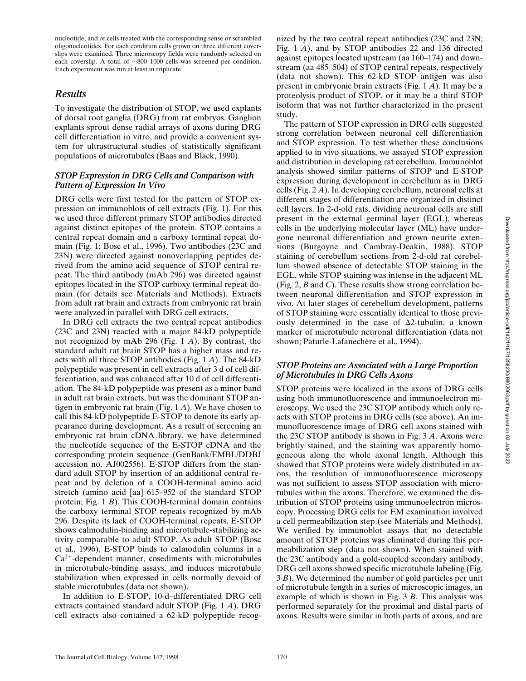nucleotide, and of cells treated with the corresponding sense or scrambled oligonucleotides. For each condition cells grown on three different coverslips were examined. Three microscopy fields were randomly selected on each coverslip. A total of  $\sim$ 800–1000 cells was screened per condition. Each experiment was run at least in triplicate.

# *Results*

To investigate the distribution of STOP, we used explants of dorsal root ganglia (DRG) from rat embryos. Ganglion explants sprout dense radial arrays of axons during DRG cell differentiation in vitro, and provide a convenient system for ultrastructural studies of statistically significant populations of microtubules (Baas and Black, 1990).

## *STOP Expression in DRG Cells and Comparison with Pattern of Expression In Vivo*

DRG cells were first tested for the pattern of STOP expression on immunoblots of cell extracts (Fig. 1). For this we used three different primary STOP antibodies directed against distinct epitopes of the protein. STOP contains a central repeat domain and a carboxy terminal repeat domain (Fig. 1; Bosc et al., 1996). Two antibodies (23C and 23N) were directed against nonoverlapping peptides derived from the amino acid sequence of STOP central repeat. The third antibody (mAb 296) was directed against epitopes located in the STOP carboxy terminal repeat domain (for details see Materials and Methods). Extracts from adult rat brain and extracts from embryonic rat brain were analyzed in parallel with DRG cell extracts.

In DRG cell extracts the two central repeat antibodies (23C and 23N) reacted with a major 84-kD polypeptide not recognized by mAb 296 (Fig. 1 *A*). By contrast, the standard adult rat brain STOP has a higher mass and reacts with all three STOP antibodies (Fig. 1 *A*). The 84-kD polypeptide was present in cell extracts after 3 d of cell differentiation, and was enhanced after 10 d of cell differentiation. The 84-kD polypeptide was present as a minor band in adult rat brain extracts, but was the dominant STOP antigen in embryonic rat brain (Fig. 1 *A*). We have chosen to call this 84-kD polypeptide E-STOP to denote its early appearance during development. As a result of screening an embryonic rat brain cDNA library, we have determined the nucleotide sequence of the E-STOP cDNA and the corresponding protein sequence (GenBank/EMBL/DDBJ accession no. AJ002556). E-STOP differs from the standard adult STOP by insertion of an additional central repeat and by deletion of a COOH-terminal amino acid stretch (amino acid [aa] 615–952 of the standard STOP protein; Fig. 1 *B*). This COOH-terminal domain contains the carboxy terminal STOP repeats recognized by mAb 296. Despite its lack of COOH-terminal repeats, E-STOP shows calmodulin-binding and microtubule-stabilizing activity comparable to adult STOP. As adult STOP (Bosc et al., 1996), E-STOP binds to calmodulin columns in a  $Ca<sup>2+</sup>$ -dependent manner, cosediments with microtubules in microtubule-binding assays, and induces microtubule stabilization when expressed in cells normally devoid of stable microtubules (data not shown).

In addition to E-STOP, 10-d–differentiated DRG cell extracts contained standard adult STOP (Fig. 1 *A*). DRG cell extracts also contained a 62-kD polypeptide recognized by the two central repeat antibodies (23C and 23N; Fig. 1 *A*), and by STOP antibodies 22 and 136 directed against epitopes located upstream (aa 160–174) and downstream (aa 485–504) of STOP central repeats, respectively (data not shown). This 62-kD STOP antigen was also present in embryonic brain extracts (Fig. 1 *A*). It may be a proteolysis product of STOP, or it may be a third STOP isoform that was not further characterized in the present study.

The pattern of STOP expression in DRG cells suggested strong correlation between neuronal cell differentiation and STOP expression. To test whether these conclusions applied to in vivo situations, we assayed STOP expression and distribution in developing rat cerebellum. Immunoblot analysis showed similar patterns of STOP and E-STOP expression during development in cerebellum as in DRG cells (Fig. 2 *A*). In developing cerebellum, neuronal cells at different stages of differentiation are organized in distinct cell layers. In 2-d-old rats, dividing neuronal cells are still present in the external germinal layer (EGL), whereas cells in the underlying molecular layer (ML) have undergone neuronal differentiation and grown neurite extensions (Burgoyne and Cambray-Deakin, 1988). STOP staining of cerebellum sections from 2-d-old rat cerebellum showed absence of detectable STOP staining in the EGL, while STOP staining was intense in the adjacent ML (Fig. 2, *B* and *C*). These results show strong correlation between neuronal differentiation and STOP expression in vivo. At later stages of cerebellum development, patterns of STOP staining were essentially identical to those previously determined in the case of  $\Delta$ 2-tubulin, a known marker of microtubule neuronal differentiation (data not shown; Paturle-Lafanechère et al., 1994).

## *STOP Proteins are Associated with a Large Proportion of Microtubules in DRG Cells Axons*

STOP proteins were localized in the axons of DRG cells using both immunofluorescence and immunoelectron microscopy. We used the 23C STOP antibody which only reacts with STOP proteins in DRG cells (see above). An immunofluorescence image of DRG cell axons stained with the 23C STOP antibody is shown in Fig. 3 *A*. Axons were brightly stained, and the staining was apparently homogeneous along the whole axonal length. Although this showed that STOP proteins were widely distributed in axons, the resolution of immunofluorescence microscopy was not sufficient to assess STOP association with microtubules within the axons. Therefore, we examined the distribution of STOP proteins using immunoelectron microscopy. Processing DRG cells for EM examination involved a cell permeabilization step (see Materials and Methods). We verified by immunoblot assays that no detectable amount of STOP proteins was eliminated during this permeabilization step (data not shown). When stained with the 23C antibody and a gold-coupled secondary antibody, DRG cell axons showed specific microtubule labeling (Fig. 3 *B*). We determined the number of gold particles per unit of microtubule length in a series of microscopic images, an example of which is shown in Fig. 3 *B*. This analysis was performed separately for the proximal and distal parts of axons. Results were similar in both parts of axons, and are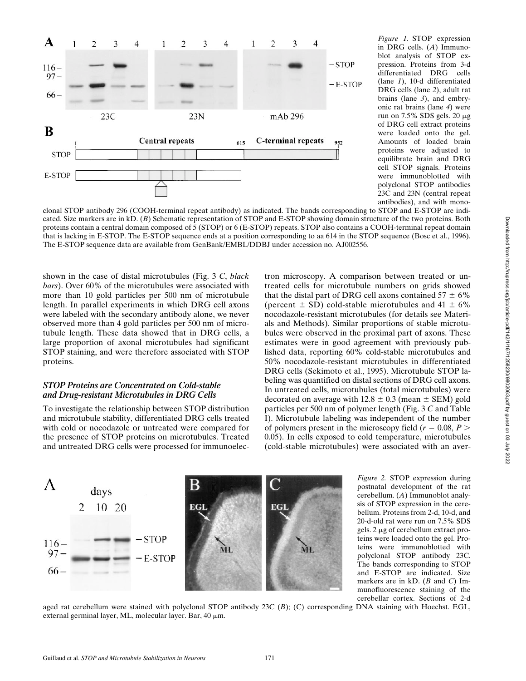

*Figure 1.* STOP expression in DRG cells. (*A*) Immunoblot analysis of STOP expression. Proteins from 3-d differentiated DRG cells (lane *1*), 10-d differentiated DRG cells (lane *2*), adult rat brains (lane *3*), and embryonic rat brains (lane *4*) were run on 7.5% SDS gels. 20 mg of DRG cell extract proteins were loaded onto the gel. Amounts of loaded brain proteins were adjusted to equilibrate brain and DRG cell STOP signals. Proteins were immunoblotted with polyclonal STOP antibodies 23C and 23N (central repeat antibodies), and with mono-

clonal STOP antibody 296 (COOH-terminal repeat antibody) as indicated. The bands corresponding to STOP and E-STOP are indicated. Size markers are in kD. (*B*) Schematic representation of STOP and E-STOP showing domain structure of the two proteins. Both proteins contain a central domain composed of 5 (STOP) or 6 (E-STOP) repeats. STOP also contains a COOH-terminal repeat domain that is lacking in E-STOP. The E-STOP sequence ends at a position corresponding to aa 614 in the STOP sequence (Bosc et al., 1996). The E-STOP sequence data are available from GenBank/EMBL/DDBJ under accession no. AJ002556.

shown in the case of distal microtubules (Fig. 3 *C*, *black bars*). Over 60% of the microtubules were associated with more than 10 gold particles per 500 nm of microtubule length. In parallel experiments in which DRG cell axons were labeled with the secondary antibody alone, we never observed more than 4 gold particles per 500 nm of microtubule length. These data showed that in DRG cells, a large proportion of axonal microtubules had significant STOP staining, and were therefore associated with STOP proteins.

## *STOP Proteins are Concentrated on Cold-stable and Drug-resistant Microtubules in DRG Cells*

To investigate the relationship between STOP distribution and microtubule stability, differentiated DRG cells treated with cold or nocodazole or untreated were compared for the presence of STOP proteins on microtubules. Treated and untreated DRG cells were processed for immunoelectron microscopy. A comparison between treated or untreated cells for microtubule numbers on grids showed that the distal part of DRG cell axons contained  $57 \pm 6\%$ (percent  $\pm$  SD) cold-stable microtubules and 41  $\pm$  6% nocodazole-resistant microtubules (for details see Materials and Methods). Similar proportions of stable microtubules were observed in the proximal part of axons. These estimates were in good agreement with previously published data, reporting 60% cold-stable microtubules and 50% nocodazole-resistant microtubules in differentiated DRG cells (Sekimoto et al., 1995). Microtubule STOP labeling was quantified on distal sections of DRG cell axons. In untreated cells, microtubules (total microtubules) were decorated on average with  $12.8 \pm 0.3$  (mean  $\pm$  SEM) gold particles per 500 nm of polymer length (Fig. 3 *C* and Table I). Microtubule labeling was independent of the number of polymers present in the microscopy field ( $r = 0.08, P >$ 0.05). In cells exposed to cold temperature, microtubules (cold-stable microtubules) were associated with an aver-



*Figure 2.* STOP expression during postnatal development of the rat cerebellum. (*A*) Immunoblot analysis of STOP expression in the cerebellum. Proteins from 2-d, 10-d, and 20-d-old rat were run on 7.5% SDS gels. 2 µg of cerebellum extract proteins were loaded onto the gel. Proteins were immunoblotted with polyclonal STOP antibody 23C. The bands corresponding to STOP and E-STOP are indicated. Size markers are in kD. (*B* and *C*) Immunofluorescence staining of the cerebellar cortex. Sections of 2-d

aged rat cerebellum were stained with polyclonal STOP antibody 23C (*B*); (C) corresponding DNA staining with Hoechst. EGL, external germinal layer, ML, molecular layer. Bar, 40  $\mu$ m.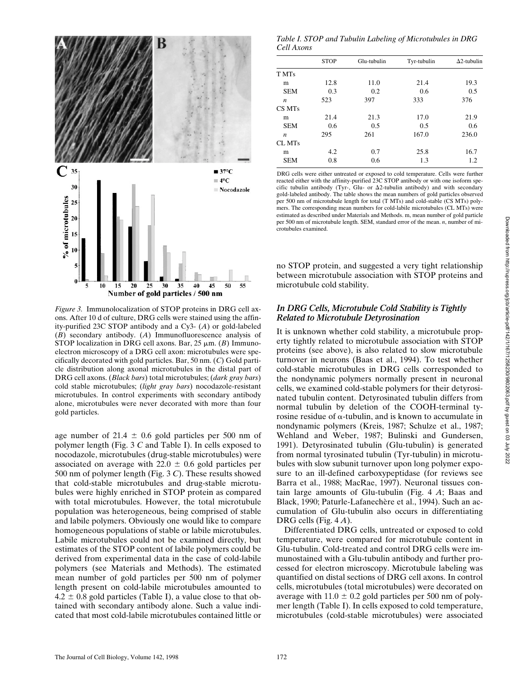

*Figure 3.* Immunolocalization of STOP proteins in DRG cell axons. After 10 d of culture, DRG cells were stained using the affinity-purified 23C STOP antibody and a Cy3- (*A*) or gold-labeled (*B*) secondary antibody. (*A*) Immunofluorescence analysis of STOP localization in DRG cell axons. Bar,  $25 \mu m$ . (*B*) Immunoelectron microscopy of a DRG cell axon: microtubules were specifically decorated with gold particles. Bar, 50 nm. (*C*) Gold particle distribution along axonal microtubules in the distal part of DRG cell axons. (*Black bars*) total microtubules; (*dark gray bars*) cold stable microtubules; (*light gray bars*) nocodazole-resistant microtubules. In control experiments with secondary antibody alone, microtubules were never decorated with more than four gold particles.

age number of 21.4  $\pm$  0.6 gold particles per 500 nm of polymer length (Fig. 3 *C* and Table I). In cells exposed to nocodazole, microtubules (drug-stable microtubules) were associated on average with 22.0  $\pm$  0.6 gold particles per 500 nm of polymer length (Fig. 3 *C*). These results showed that cold-stable microtubules and drug-stable microtubules were highly enriched in STOP protein as compared with total microtubules. However, the total microtubule population was heterogeneous, being comprised of stable and labile polymers. Obviously one would like to compare homogeneous populations of stable or labile microtubules. Labile microtubules could not be examined directly, but estimates of the STOP content of labile polymers could be derived from experimental data in the case of cold-labile polymers (see Materials and Methods). The estimated mean number of gold particles per 500 nm of polymer length present on cold-labile microtubules amounted to  $4.2 \pm 0.8$  gold particles (Table I), a value close to that obtained with secondary antibody alone. Such a value indicated that most cold-labile microtubules contained little or

*Table I. STOP and Tubulin Labeling of Microtubules in DRG Cell Axons*

|                  | <b>STOP</b> | Glu-tubulin | Tyr-tubulin | $\Delta$ 2-tubulin |
|------------------|-------------|-------------|-------------|--------------------|
| T MTs            |             |             |             |                    |
| m                | 12.8        | 11.0        | 21.4        | 19.3               |
| <b>SEM</b>       | 0.3         | 0.2         | 0.6         | 0.5                |
| n                | 523         | 397         | 333         | 376                |
| CS MTs           |             |             |             |                    |
| m                | 21.4        | 21.3        | 17.0        | 21.9               |
| <b>SEM</b>       | 0.6         | 0.5         | 0.5         | 0.6                |
| $\boldsymbol{n}$ | 295         | 261         | 167.0       | 236.0              |
| CL MTs           |             |             |             |                    |
| m                | 4.2         | 0.7         | 25.8        | 16.7               |
| <b>SEM</b>       | 0.8         | 0.6         | 1.3         | 1.2                |
|                  |             |             |             |                    |

DRG cells were either untreated or exposed to cold temperature. Cells were further reacted either with the affinity-purified 23C STOP antibody or with one isoform specific tubulin antibody (Tyr-, Glu- or  $\Delta 2$ -tubulin antibody) and with secondary gold-labeled antibody. The table shows the mean numbers of gold particles observed per 500 nm of microtubule length for total (T MTs) and cold-stable (CS MTs) polymers. The corresponding mean numbers for cold-labile microtubules (CL MTs) were estimated as described under Materials and Methods. m, mean number of gold particle per 500 nm of microtubule length. SEM, standard error of the mean. *n*, number of microtubules examined.

no STOP protein, and suggested a very tight relationship between microtubule association with STOP proteins and microtubule cold stability.

## *In DRG Cells, Microtubule Cold Stability is Tightly Related to Microtubule Detyrosination*

It is unknown whether cold stability, a microtubule property tightly related to microtubule association with STOP proteins (see above), is also related to slow microtubule turnover in neurons (Baas et al., 1994). To test whether cold-stable microtubules in DRG cells corresponded to the nondynamic polymers normally present in neuronal cells, we examined cold-stable polymers for their detyrosinated tubulin content. Detyrosinated tubulin differs from normal tubulin by deletion of the COOH-terminal tyrosine residue of  $\alpha$ -tubulin, and is known to accumulate in nondynamic polymers (Kreis, 1987; Schulze et al., 1987; Wehland and Weber, 1987; Bulinski and Gundersen, 1991). Detyrosinated tubulin (Glu-tubulin) is generated from normal tyrosinated tubulin (Tyr-tubulin) in microtubules with slow subunit turnover upon long polymer exposure to an ill-defined carboxypeptidase (for reviews see Barra et al., 1988; MacRae, 1997). Neuronal tissues contain large amounts of Glu-tubulin (Fig. 4 *A*; Baas and Black, 1990; Paturle-Lafanechère et al., 1994). Such an accumulation of Glu-tubulin also occurs in differentiating DRG cells (Fig. 4 *A*).

Differentiated DRG cells, untreated or exposed to cold temperature, were compared for microtubule content in Glu-tubulin. Cold-treated and control DRG cells were immunostained with a Glu-tubulin antibody and further processed for electron microscopy. Microtubule labeling was quantified on distal sections of DRG cell axons. In control cells, microtubules (total microtubules) were decorated on average with  $11.0 \pm 0.2$  gold particles per 500 nm of polymer length (Table I). In cells exposed to cold temperature, microtubules (cold-stable microtubules) were associated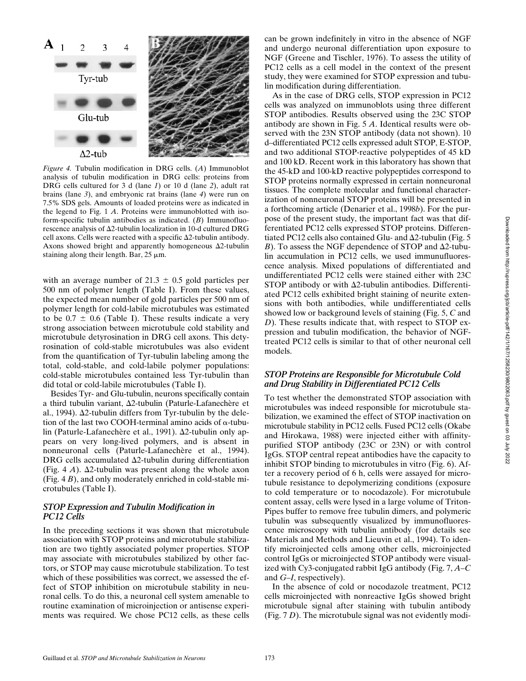

*Figure 4.* Tubulin modification in DRG cells. (*A*) Immunoblot analysis of tubulin modification in DRG cells: proteins from DRG cells cultured for 3 d (lane *1*) or 10 d (lane *2*), adult rat brains (lane *3*), and embryonic rat brains (lane *4*) were run on 7.5% SDS gels. Amounts of loaded proteins were as indicated in the legend to Fig. 1 *A*. Proteins were immunoblotted with isoform-specific tubulin antibodies as indicated. (*B*) Immunofluorescence analysis of  $\Delta$ 2-tubulin localization in 10-d cultured DRG cell axons. Cells were reacted with a specific  $\Delta$ 2-tubulin antibody. Axons showed bright and apparently homogeneous  $\Delta 2$ -tubulin staining along their length. Bar,  $25 \mu m$ .

with an average number of 21.3  $\pm$  0.5 gold particles per 500 nm of polymer length (Table I). From these values, the expected mean number of gold particles per 500 nm of polymer length for cold-labile microtubules was estimated to be  $0.7 \pm 0.6$  (Table I). These results indicate a very strong association between microtubule cold stability and microtubule detyrosination in DRG cell axons. This detyrosination of cold-stable microtubules was also evident from the quantification of Tyr-tubulin labeling among the total, cold-stable, and cold-labile polymer populations: cold-stable microtubules contained less Tyr-tubulin than did total or cold-labile microtubules (Table I).

Besides Tyr- and Glu-tubulin, neurons specifically contain a third tubulin variant,  $\Delta$ 2-tubulin (Paturle-Lafanechère et al., 1994).  $\Delta$ 2-tubulin differs from Tyr-tubulin by the deletion of the last two COOH-terminal amino acids of  $\alpha$ -tubulin (Paturle-Lafanechère et al., 1991). Δ2-tubulin only appears on very long-lived polymers, and is absent in nonneuronal cells (Paturle-Lafanechère et al., 1994). DRG cells accumulated  $\Delta$ 2-tubulin during differentiation (Fig. 4  $\hat{A}$ ).  $\Delta$ 2-tubulin was present along the whole axon (Fig. 4 *B*), and only moderately enriched in cold-stable microtubules (Table I).

## *STOP Expression and Tubulin Modification in PC12 Cells*

In the preceding sections it was shown that microtubule association with STOP proteins and microtubule stabilization are two tightly associated polymer properties. STOP may associate with microtubules stabilized by other factors, or STOP may cause microtubule stabilization. To test which of these possibilities was correct, we assessed the effect of STOP inhibition on microtubule stability in neuronal cells. To do this, a neuronal cell system amenable to routine examination of microinjection or antisense experiments was required. We chose PC12 cells, as these cells can be grown indefinitely in vitro in the absence of NGF and undergo neuronal differentiation upon exposure to NGF (Greene and Tischler, 1976). To assess the utility of PC12 cells as a cell model in the context of the present study, they were examined for STOP expression and tubulin modification during differentiation.

As in the case of DRG cells, STOP expression in PC12 cells was analyzed on immunoblots using three different STOP antibodies. Results observed using the 23C STOP antibody are shown in Fig. 5 *A*. Identical results were observed with the 23N STOP antibody (data not shown). 10 d–differentiated PC12 cells expressed adult STOP, E-STOP, and two additional STOP-reactive polypeptides of 45 kD and 100 kD. Recent work in this laboratory has shown that the 45-kD and 100-kD reactive polypeptides correspond to STOP proteins normally expressed in certain nonneuronal tissues. The complete molecular and functional characterization of nonneuronal STOP proteins will be presented in a forthcoming article (Denarier et al., 1998*b*). For the purpose of the present study, the important fact was that differentiated PC12 cells expressed STOP proteins. Differentiated PC12 cells also contained Glu- and  $\Delta$ 2-tubulin (Fig. 5) *B*). To assess the NGF dependence of STOP and  $\Delta$ 2-tubulin accumulation in PC12 cells, we used immunufluorescence analysis. Mixed populations of differentiated and undifferentiated PC12 cells were stained either with 23C STOP antibody or with  $\Delta$ 2-tubulin antibodies. Differentiated PC12 cells exhibited bright staining of neurite extensions with both antibodies, while undifferentiated cells showed low or background levels of staining (Fig. 5, *C* and *D*). These results indicate that, with respect to STOP expression and tubulin modification, the behavior of NGFtreated PC12 cells is similar to that of other neuronal cell models.

## *STOP Proteins are Responsible for Microtubule Cold and Drug Stability in Differentiated PC12 Cells*

To test whether the demonstrated STOP association with microtubules was indeed responsible for microtubule stabilization, we examined the effect of STOP inactivation on microtubule stability in PC12 cells. Fused PC12 cells (Okabe and Hirokawa, 1988) were injected either with affinitypurified STOP antibody (23C or 23N) or with control IgGs. STOP central repeat antibodies have the capacity to inhibit STOP binding to microtubules in vitro (Fig. 6). After a recovery period of 6 h, cells were assayed for microtubule resistance to depolymerizing conditions (exposure to cold temperature or to nocodazole). For microtubule content assay, cells were lysed in a large volume of Triton-Pipes buffer to remove free tubulin dimers, and polymeric tubulin was subsequently visualized by immunofluorescence microscopy with tubulin antibody (for details see Materials and Methods and Lieuvin et al., 1994). To identify microinjected cells among other cells, microinjected control IgGs or microinjected STOP antibody were visualized with Cy3-conjugated rabbit IgG antibody (Fig. 7, *A*–*C* and *G*–*I*, respectively).

In the absence of cold or nocodazole treatment, PC12 cells microinjected with nonreactive IgGs showed bright microtubule signal after staining with tubulin antibody (Fig. 7 *D*). The microtubule signal was not evidently modi-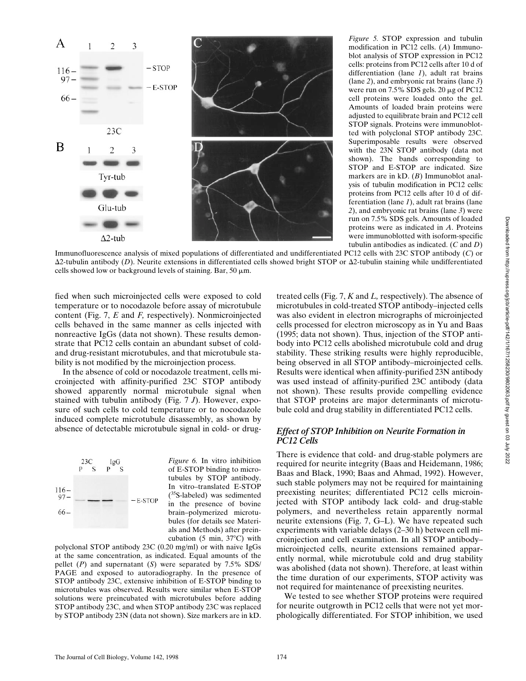

*Figure 5.* STOP expression and tubulin modification in PC12 cells. (*A*) Immunoblot analysis of STOP expression in PC12 cells: proteins from PC12 cells after 10 d of differentiation (lane *1*), adult rat brains (lane *2*), and embryonic rat brains (lane *3*) were run on 7.5% SDS gels. 20 μg of PC12 cell proteins were loaded onto the gel. Amounts of loaded brain proteins were adjusted to equilibrate brain and PC12 cell STOP signals. Proteins were immunoblotted with polyclonal STOP antibody 23C. Superimposable results were observed with the 23N STOP antibody (data not shown). The bands corresponding to STOP and E-STOP are indicated. Size markers are in kD. (*B*) Immunoblot analysis of tubulin modification in PC12 cells: proteins from PC12 cells after 10 d of differentiation (lane *1*), adult rat brains (lane *2*), and embryonic rat brains (lane *3*) were run on 7.5% SDS gels. Amounts of loaded proteins were as indicated in *A*. Proteins were immunoblotted with isoform-specific tubulin antibodies as indicated. (*C* and *D*)

Immunofluorescence analysis of mixed populations of differentiated and undifferentiated PC12 cells with 23C STOP antibody (*C*) or  $\Delta$ 2-tubulin antibody (*D*). Neurite extensions in differentiated cells showed bright STOP or  $\Delta$ 2-tubulin staining while undifferentiated cells showed low or background levels of staining. Bar, 50  $\mu$ m.

fied when such microinjected cells were exposed to cold temperature or to nocodazole before assay of microtubule content (Fig. 7, *E* and *F,* respectively). Nonmicroinjected cells behaved in the same manner as cells injected with nonreactive IgGs (data not shown). These results demonstrate that PC12 cells contain an abundant subset of coldand drug-resistant microtubules, and that microtubule stability is not modified by the microinjection process.

In the absence of cold or nocodazole treatment, cells microinjected with affinity-purified 23C STOP antibody showed apparently normal microtubule signal when stained with tubulin antibody (Fig. 7 *J*). However, exposure of such cells to cold temperature or to nocodazole induced complete microtubule disassembly, as shown by absence of detectable microtubule signal in cold- or drug-



In vitro–translated E-STOP (35S-labeled) was sedimented in the presence of bovine brain–polymerized microtubules (for details see Materials and Methods) after preincubation (5 min,  $37^{\circ}$ C) with polyclonal STOP antibody 23C (0.20 mg/ml) or with naive IgGs

at the same concentration, as indicated. Equal amounts of the pellet (*P*) and supernatant (*S*) were separated by 7.5% SDS/ PAGE and exposed to autoradiography. In the presence of STOP antibody 23C, extensive inhibition of E-STOP binding to microtubules was observed. Results were similar when E-STOP solutions were preincubated with microtubules before adding STOP antibody 23C, and when STOP antibody 23C was replaced by STOP antibody 23N (data not shown). Size markers are in kD. treated cells (Fig. 7, *K* and *L,* respectively). The absence of microtubules in cold-treated STOP antibody–injected cells was also evident in electron micrographs of microinjected cells processed for electron microscopy as in Yu and Baas (1995; data not shown). Thus, injection of the STOP antibody into PC12 cells abolished microtubule cold and drug stability. These striking results were highly reproducible, being observed in all STOP antibody–microinjected cells. Results were identical when affinity-purified 23N antibody was used instead of affinity-purified 23C antibody (data not shown). These results provide compelling evidence that STOP proteins are major determinants of microtubule cold and drug stability in differentiated PC12 cells.

## *Effect of STOP Inhibition on Neurite Formation in PC12 Cells*

There is evidence that cold- and drug-stable polymers are required for neurite integrity (Baas and Heidemann, 1986; Baas and Black, 1990; Baas and Ahmad, 1992). However, such stable polymers may not be required for maintaining preexisting neurites; differentiated PC12 cells microinjected with STOP antibody lack cold- and drug-stable polymers, and nevertheless retain apparently normal neurite extensions (Fig. 7, G–L). We have repeated such experiments with variable delays (2–30 h) between cell microinjection and cell examination. In all STOP antibody– microinjected cells, neurite extensions remained apparently normal, while microtubule cold and drug stability was abolished (data not shown). Therefore, at least within the time duration of our experiments, STOP activity was not required for maintenance of preexisting neurites.

We tested to see whether STOP proteins were required for neurite outgrowth in PC12 cells that were not yet morphologically differentiated. For STOP inhibition, we used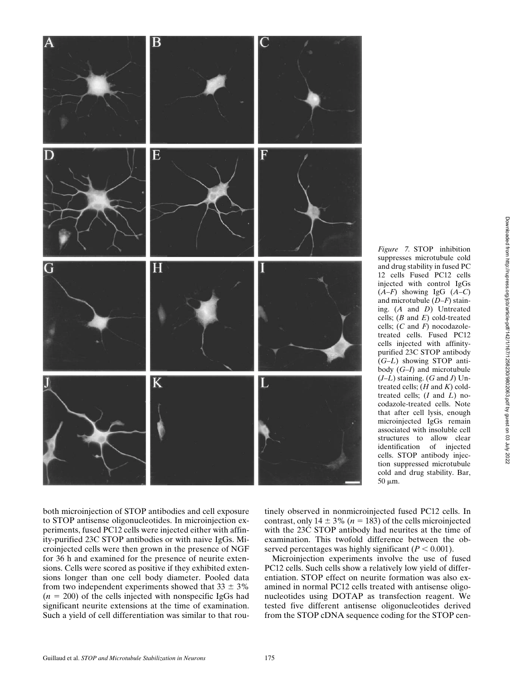*Figure 7.* STOP inhibition suppresses microtubule cold and drug stability in fused PC 12 cells Fused PC12 cells injected with control IgGs (*A*–*F*) showing IgG (*A*–*C*) and microtubule (*D*–*F*) staining. (*A* and *D*) Untreated cells; (*B* and *E*) cold-treated cells; (*C* and *F*) nocodazoletreated cells. Fused PC12 cells injected with affinitypurified 23C STOP antibody (*G*–*L*) showing STOP antibody (*G*–*I*) and microtubule (*J*–*L*) staining. (*G* and *J*) Untreated cells; (*H* and *K*) coldtreated cells; (*I* and *L*) nocodazole-treated cells. Note that after cell lysis, enough microinjected IgGs remain associated with insoluble cell structures to allow clear



tinely observed in nonmicroinjected fused PC12 cells. In contrast, only  $14 \pm 3\%$  ( $n = 183$ ) of the cells microinjected with the 23C STOP antibody had neurites at the time of examination. This twofold difference between the obidentification of injected cells. STOP antibody injection suppressed microtubule cold and drug stability. Bar,  $50 \mu m$ .

served percentages was highly significant  $(P < 0.001)$ . Microinjection experiments involve the use of fused PC12 cells. Such cells show a relatively low yield of differentiation. STOP effect on neurite formation was also examined in normal PC12 cells treated with antisense oligonucleotides using DOTAP as transfection reagent. We tested five different antisense oligonucleotides derived from the STOP cDNA sequence coding for the STOP cen-

both microinjection of STOP antibodies and cell exposure to STOP antisense oligonucleotides. In microinjection experiments, fused PC12 cells were injected either with affinity-purified 23C STOP antibodies or with naive IgGs. Microinjected cells were then grown in the presence of NGF for 36 h and examined for the presence of neurite extensions. Cells were scored as positive if they exhibited extensions longer than one cell body diameter. Pooled data from two independent experiments showed that  $33 \pm 3\%$  $(n = 200)$  of the cells injected with nonspecific IgGs had significant neurite extensions at the time of examination. Such a yield of cell differentiation was similar to that rou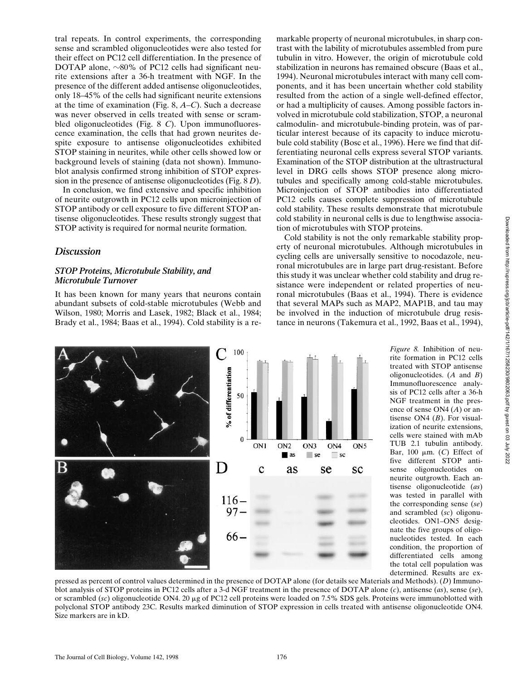tral repeats. In control experiments, the corresponding sense and scrambled oligonucleotides were also tested for their effect on PC12 cell differentiation. In the presence of DOTAP alone,  $\sim$ 80% of PC12 cells had significant neurite extensions after a 36-h treatment with NGF. In the presence of the different added antisense oligonucleotides, only 18–45% of the cells had significant neurite extensions at the time of examination (Fig. 8, *A*–*C*). Such a decrease was never observed in cells treated with sense or scrambled oligonucleotides (Fig. 8 *C*). Upon immunofluorescence examination, the cells that had grown neurites despite exposure to antisense oligonucleotides exhibited STOP staining in neurites, while other cells showed low or background levels of staining (data not shown). Immunoblot analysis confirmed strong inhibition of STOP expression in the presence of antisense oligonucleotides (Fig. 8 *D*).

In conclusion, we find extensive and specific inhibition of neurite outgrowth in PC12 cells upon microinjection of STOP antibody or cell exposure to five different STOP antisense oligonucleotides. These results strongly suggest that STOP activity is required for normal neurite formation.

## *Discussion*

## *STOP Proteins, Microtubule Stability, and Microtubule Turnover*

It has been known for many years that neurons contain abundant subsets of cold-stable microtubules (Webb and Wilson, 1980; Morris and Lasek, 1982; Black et al., 1984; Brady et al., 1984; Baas et al., 1994). Cold stability is a re-

markable property of neuronal microtubules, in sharp contrast with the lability of microtubules assembled from pure tubulin in vitro. However, the origin of microtubule cold stabilization in neurons has remained obscure (Baas et al., 1994). Neuronal microtubules interact with many cell components, and it has been uncertain whether cold stability resulted from the action of a single well-defined effector, or had a multiplicity of causes. Among possible factors involved in microtubule cold stabilization, STOP, a neuronal calmodulin- and microtubule-binding protein, was of particular interest because of its capacity to induce microtubule cold stability (Bosc et al., 1996). Here we find that differentiating neuronal cells express several STOP variants. Examination of the STOP distribution at the ultrastructural level in DRG cells shows STOP presence along microtubules and specifically among cold-stable microtubules. Microinjection of STOP antibodies into differentiated PC12 cells causes complete suppression of microtubule cold stability. These results demonstrate that microtubule cold stability in neuronal cells is due to lengthwise association of microtubules with STOP proteins.

Cold stability is not the only remarkable stability property of neuronal microtubules. Although microtubules in cycling cells are universally sensitive to nocodazole, neuronal microtubules are in large part drug-resistant. Before this study it was unclear whether cold stability and drug resistance were independent or related properties of neuronal microtubules (Baas et al., 1994). There is evidence that several MAPs such as MAP2, MAP1B, and tau may be involved in the induction of microtubule drug resistance in neurons (Takemura et al., 1992, Baas et al., 1994),



*Figure 8.* Inhibition of neurite formation in PC12 cells treated with STOP antisense oligonucleotides. (*A* and *B*) Immunofluorescence analysis of PC12 cells after a 36-h NGF treatment in the presence of sense ON4 (*A*) or antisense ON4 (*B*). For visualization of neurite extensions, cells were stained with mAb TUB 2.1 tubulin antibody. Bar, 100  $\mu$ m. (*C*) Effect of five different STOP antisense oligonucleotides on neurite outgrowth. Each antisense oligonucleotide (*as*) was tested in parallel with the corresponding sense (*se*) and scrambled (*sc*) oligonucleotides. ON1–ON5 designate the five groups of oligonucleotides tested. In each condition, the proportion of differentiated cells among the total cell population was determined. Results are ex-

pressed as percent of control values determined in the presence of DOTAP alone (for details see Materials and Methods). (*D*) Immunoblot analysis of STOP proteins in PC12 cells after a 3-d NGF treatment in the presence of DOTAP alone (*c*), antisense (*as*), sense (*se*), or scrambled (*sc*) oligonucleotide ON4. 20 mg of PC12 cell proteins were loaded on 7.5% SDS gels. Proteins were immunoblotted with polyclonal STOP antibody 23C. Results marked diminution of STOP expression in cells treated with antisense oligonucleotide ON4. Size markers are in kD.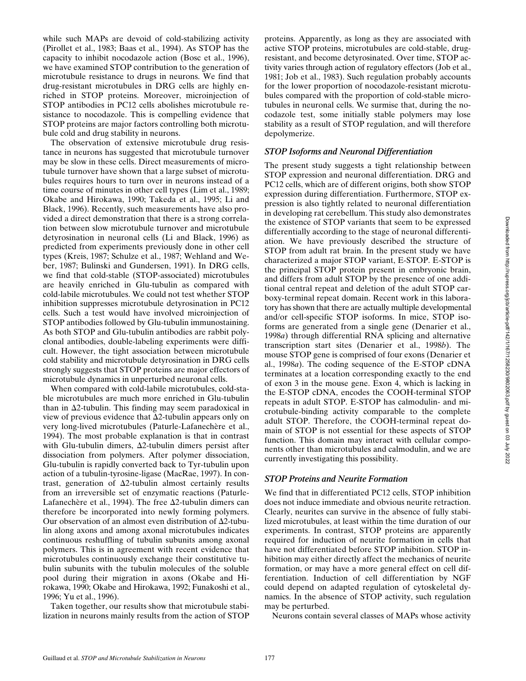while such MAPs are devoid of cold-stabilizing activity (Pirollet et al., 1983; Baas et al., 1994). As STOP has the capacity to inhibit nocodazole action (Bosc et al., 1996), we have examined STOP contribution to the generation of microtubule resistance to drugs in neurons. We find that drug-resistant microtubules in DRG cells are highly enriched in STOP proteins. Moreover, microinjection of STOP antibodies in PC12 cells abolishes microtubule resistance to nocodazole. This is compelling evidence that STOP proteins are major factors controlling both microtubule cold and drug stability in neurons.

The observation of extensive microtubule drug resistance in neurons has suggested that microtubule turnover may be slow in these cells. Direct measurements of microtubule turnover have shown that a large subset of microtubules requires hours to turn over in neurons instead of a time course of minutes in other cell types (Lim et al., 1989; Okabe and Hirokawa, 1990; Takeda et al., 1995; Li and Black, 1996). Recently, such measurements have also provided a direct demonstration that there is a strong correlation between slow microtubule turnover and microtubule detyrosination in neuronal cells (Li and Black, 1996) as predicted from experiments previously done in other cell types (Kreis, 1987; Schulze et al., 1987; Wehland and Weber, 1987; Bulinski and Gundersen, 1991). In DRG cells, we find that cold-stable (STOP-associated) microtubules are heavily enriched in Glu-tubulin as compared with cold-labile microtubules. We could not test whether STOP inhibition suppresses microtubule detyrosination in PC12 cells. Such a test would have involved microinjection of STOP antibodies followed by Glu-tubulin immunostaining. As both STOP and Glu-tubulin antibodies are rabbit polyclonal antibodies, double-labeling experiments were difficult. However, the tight association between microtubule cold stability and microtubule detyrosination in DRG cells strongly suggests that STOP proteins are major effectors of microtubule dynamics in unperturbed neuronal cells.

When compared with cold-labile microtubules, cold-stable microtubules are much more enriched in Glu-tubulin than in  $\Delta$ 2-tubulin. This finding may seem paradoxical in view of previous evidence that  $\Delta$ 2-tubulin appears only on very long-lived microtubules (Paturle-Lafanechère et al., 1994). The most probable explanation is that in contrast with Glu-tubulin dimers,  $\Delta$ 2-tubulin dimers persist after dissociation from polymers. After polymer dissociation, Glu-tubulin is rapidly converted back to Tyr-tubulin upon action of a tubulin-tyrosine-ligase (MacRae, 1997). In contrast, generation of  $\Delta$ 2-tubulin almost certainly results from an irreversible set of enzymatic reactions (Paturle-Lafanechère et al., 1994). The free  $\Delta$ 2-tubulin dimers can therefore be incorporated into newly forming polymers. Our observation of an almost even distribution of  $\Delta$ 2-tubulin along axons and among axonal microtubules indicates continuous reshuffling of tubulin subunits among axonal polymers. This is in agreement with recent evidence that microtubules continuously exchange their constitutive tubulin subunits with the tubulin molecules of the soluble pool during their migration in axons (Okabe and Hirokawa, 1990; Okabe and Hirokawa, 1992; Funakoshi et al., 1996; Yu et al., 1996).

Taken together, our results show that microtubule stabilization in neurons mainly results from the action of STOP

proteins. Apparently, as long as they are associated with active STOP proteins, microtubules are cold-stable, drugresistant, and become detyrosinated. Over time, STOP activity varies through action of regulatory effectors (Job et al., 1981; Job et al., 1983). Such regulation probably accounts for the lower proportion of nocodazole-resistant microtubules compared with the proportion of cold-stable microtubules in neuronal cells. We surmise that, during the nocodazole test, some initially stable polymers may lose stability as a result of STOP regulation, and will therefore depolymerize.

## *STOP Isoforms and Neuronal Differentiation*

The present study suggests a tight relationship between STOP expression and neuronal differentiation. DRG and PC12 cells, which are of different origins, both show STOP expression during differentiation. Furthermore, STOP expression is also tightly related to neuronal differentiation in developing rat cerebellum. This study also demonstrates the existence of STOP variants that seem to be expressed differentially according to the stage of neuronal differentiation. We have previously described the structure of STOP from adult rat brain. In the present study we have characterized a major STOP variant, E-STOP. E-STOP is the principal STOP protein present in embryonic brain, and differs from adult STOP by the presence of one additional central repeat and deletion of the adult STOP carboxy-terminal repeat domain. Recent work in this laboratory has shown that there are actually multiple developmental and/or cell-specific STOP isoforms. In mice, STOP isoforms are generated from a single gene (Denarier et al., 1998*a*) through differential RNA splicing and alternative transcription start sites (Denarier et al., 1998*b*). The mouse STOP gene is comprised of four exons (Denarier et al., 1998*a*). The coding sequence of the E-STOP cDNA terminates at a location corresponding exactly to the end of exon 3 in the mouse gene. Exon 4, which is lacking in the E-STOP cDNA, encodes the COOH-terminal STOP repeats in adult STOP. E-STOP has calmodulin- and microtubule-binding activity comparable to the complete adult STOP. Therefore, the COOH-terminal repeat domain of STOP is not essential for these aspects of STOP function. This domain may interact with cellular components other than microtubules and calmodulin, and we are currently investigating this possibility.

#### *STOP Proteins and Neurite Formation*

We find that in differentiated PC12 cells, STOP inhibition does not induce immediate and obvious neurite retraction. Clearly, neurites can survive in the absence of fully stabilized microtubules, at least within the time duration of our experiments. In contrast, STOP proteins are apparently required for induction of neurite formation in cells that have not differentiated before STOP inhibition. STOP inhibition may either directly affect the mechanics of neurite formation, or may have a more general effect on cell differentiation. Induction of cell differentiation by NGF could depend on adapted regulation of cytoskeletal dynamics. In the absence of STOP activity, such regulation may be perturbed.

Neurons contain several classes of MAPs whose activity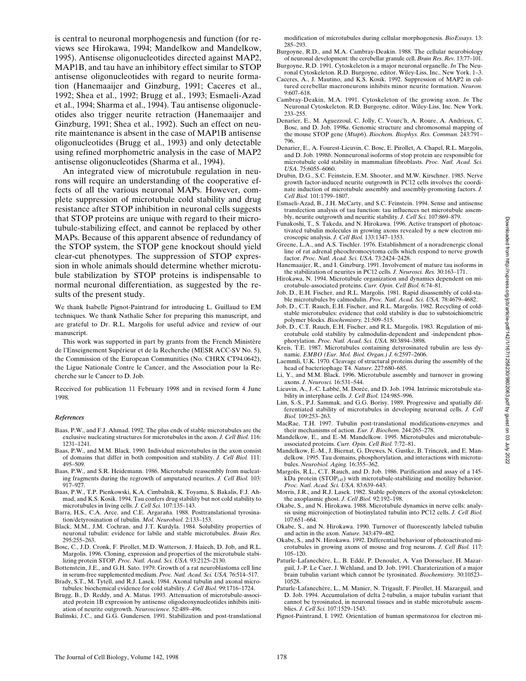is central to neuronal morphogenesis and function (for reviews see Hirokawa, 1994; Mandelkow and Mandelkow, 1995). Antisense oligonucleotides directed against MAP2, MAP1B, and tau have an inhibitory effect similar to STOP antisense oligonucleotides with regard to neurite formation (Hanemaaijer and Ginzburg, 1991; Caceres et al., 1992; Shea et al., 1992; Brugg et al., 1993; Esmaeli-Azad et al., 1994; Sharma et al., 1994). Tau antisense oligonucleotides also trigger neurite retraction (Hanemaaijer and Ginzburg, 1991; Shea et al., 1992). Such an effect on neurite maintenance is absent in the case of MAP1B antisense oligonucleotides (Brugg et al., 1993) and only detectable using refined morphometric analysis in the case of MAP2 antisense oligonucleotides (Sharma et al., 1994).

An integrated view of microtubule regulation in neurons will require an understanding of the cooperative effects of all the various neuronal MAPs. However, complete suppression of microtubule cold stability and drug resistance after STOP inhibition in neuronal cells suggests that STOP proteins are unique with regard to their microtubule-stabilizing effect, and cannot be replaced by other MAPs. Because of this apparent absence of redundancy of the STOP system, the STOP gene knockout should yield clear-cut phenotypes. The suppression of STOP expression in whole animals should determine whether microtubule stabilization by STOP proteins is indispensable to normal neuronal differentiation, as suggested by the results of the present study.

We thank Isabelle Pignot-Paintrand for introducing L. Guillaud to EM techniques. We thank Nathalie Scher for preparing this manuscript, and are grateful to Dr. R.L. Margolis for useful advice and review of our manuscript.

This work was supported in part by grants from the French Ministère de l'Enseignement Supérieur et de la Recherche (MESR ACC-SV No. 5), the Commission of the European Communities (No. CHRX CT94.0642), the Ligue Nationale Contre le Cancer, and the Association pour la Recherche sur le Cancer to D. Job.

Received for publication 11 February 1998 and in revised form 4 June 1998.

#### *References*

- Baas, P.W., and F.J. Ahmad. 1992. The plus ends of stable microtubules are the exclusive nucleating structures for microtubules in the axon. *J. Cell Biol.* 116: 1231–1241.
- Baas, P.W., and M.M. Black. 1990. Individual microtubules in the axon consist of domains that differ in both composition and stability. *J. Cell Biol.* 111: 495–509.
- Baas, P.W., and S.R. Heidemann. 1986. Microtubule reassembly from nucleating fragments during the regrowth of amputated neurites. *J. Cell Biol.* 103: 917–927.
- Baas, P.W., T.P. Pienkowski, K.A. Cimbalnik, K. Toyama, S. Bakalis, F.J. Ahmad, and K.S. Kosik. 1994. Tau confers drug stability but not cold stability to microtubules in living cells. *J. Cell Sci.* 107:135–143.
- Barra, H.S., C.A. Arce, and C.E. Argaraña. 1988. Posttranslational tyrosination/detyrosination of tubulin. *Mol. Neurobiol.* 2:133–153.
- Black, M.M., J.M. Cochran, and J.T. Kurdyla. 1984. Solubility properties of neuronal tubulin: evidence for labile and stable microtubules. *Brain Res.* 295:255–263.
- Bosc, C., J.D. Cronk, F. Pirollet, M.D. Watterson, J. Haiech, D. Job, and R.L. Margolis. 1996. Cloning, expression and properties of the microtubule stabilizing protein STOP. *Proc. Natl. Acad. Sci. USA.* 93:2125–2130.
- Bottenstein, J.E., and G.H. Sato. 1979. Growth of a rat neuroblastoma cell line in serum-free supplemented medium. *Proc. Natl. Acad. Sci. USA.* 76:514–517.

Brady, S.T., M. Tytell, and R.J. Lasek. 1984. Axonal tubulin and axonal microtubules: biochemical evidence for cold stability. *J. Cell Biol.* 99:1716–1724.

Brugg, B., D. Reddy, and A. Matus. 1993. Attenuation of microtubule-associated protein 1B expression by antisense oligodeoxynucleotides inhibits initiation of neurite outgrowth. *Neuroscience.* 52:489–496.

Bulinski, J.C., and G.G. Gundersen. 1991. Stabilization and post-translational

modification of microtubules during cellular morphogenesis. *BioEssays.* 13: 285–293.

- Burgoyne, R.D., and M.A. Cambray-Deakin. 1988. The cellular neurobiology of neuronal development: the cerebellar granule cell. *Brain Res. Rev.* 13:77–101. Burgoyne, R.D. 1991. Cytoskeleton is a major neuronal organelle. *In* The Neu-
- ronal Cytoskeleton. R.D. Burgoyne, editor. Wiley-Liss, Inc., New York. 1–3. Caceres, A., J. Mautino, and K.S. Kosik. 1992. Suppression of MAP2 in cul-
- tured cerebellar macroneurons inhibits minor neurite formation. *Neuron.* 9:607–618.
- Cambray-Deakin, M.A. 1991. Cytoskeleton of the growing axon. *In* The Neuronal Cytoskeleton. R.D. Burgoyne, editor. Wiley-Liss, Inc. New York. 233–255.
- Denarier, E., M. Aguezzoul, C. Jolly, C. Vourc'h, A. Roure, A. Andrieux, C. Bosc, and D. Job. 1998*a*. Genomic structure and chromosomal mapping of the mouse STOP gene (*Mtap6*). *Biochem. Biophys. Res. Commun.* 243:791– 796.
- Denarier, E., A. Fourest-Lieuvin, C. Bosc, E. Pirollet, A. Chapel, R.L. Margolis, and D. Job. 1998*b*. Nonneuronal isoforms of stop protein are responsible for microtubule cold stability in mammalian fibroblasts. *Proc. Natl. Acad. Sci. USA*. 75:6055–6060.
- Drubin, D.G., S.C. Feinstein, E.M. Shooter, and M.W. Kirschner. 1985. Nerve growth factor-induced neurite outgrowth in PC12 cells involves the coordinate induction of microtubule assembly and assembly-promoting factors. *J. Cell Biol.* 101:1799–1807.
- Esmaeli-Azad, B., J.H. McCarty, and S.C. Feinstein. 1994. Sense and antisense transfection analysis of tau function: tau influences net microtubule assembly, neurite outgrowth and neuritic stability. *J. Cell Sci.* 107:869–879.
- Funakoshi, T., S. Takeda, and N. Hirokawa. 1996. Active transport of photoactivated tubulin molecules in growing axons revealed by a new electron microscopic analysis. *J. Cell Biol.* 133:1347–1353.
- Greene, L.A., and A.S. Tischler. 1976. Establishment of a noradrenergic clonal line of rat adrenal pheochromocytoma cells which respond to nerve growth factor. *Proc. Natl. Acad. Sci. USA.* 73:2424–2428.
- Hanemaaijer, R., and I. Ginzburg. 1991. Involvement of mature tau isoforms in the stabilization of neurites in PC12 cells. *J. Neurosci. Res.* 30:163–171.
- Hirokawa, N. 1994. Microtubule organization and dynamics dependent on microtubule-associated proteins. *Curr. Opin. Cell Biol.* 6:74–81.
- Job, D., E.H. Fischer, and R.L. Margolis. 1981. Rapid disassembly of cold-stable microtubules by calmodulin. *Proc. Natl. Acad. Sci. USA.* 78:4679–4682.
- Job, D., C.T. Rauch, E.H. Fischer, and R.L. Margolis. 1982. Recycling of coldstable microtubules: evidence that cold stability is due to substoichiometric polymer blocks. *Biochemistry.* 21:509–515.
- Job, D., C.T. Rauch, E.H. Fischer, and R.L. Margolis. 1983. Regulation of microtubule cold stability by calmodulin-dependent and -independent phosphorylation. *Proc. Natl. Acad. Sci. USA.* 80:3894–3898.
- Kreis, T.E. 1987. Microtubules containing detyrosinated tubulin are less dynamic. *EMBO (Eur. Mol. Biol. Organ.) J.* 6:2597–2606.
- Laemmli, U.K. 1970. Cleavage of structural proteins during the assembly of the head of bacteriophage T4. *Nature.* 227:680–685.
- Li, Y., and M.M. Black. 1996. Microtubule assembly and turnover in growing axons. *J. Neurosci.* 16:531–544.
- Lieuvin, A., J.-C. Labbé, M. Dorée, and D. Job. 1994. Intrinsic microtubule stability in interphase cells. *J. Cell Biol.* 124:985–996.
- Lim, S.-S., P.J. Sammak, and G.G. Borisy. 1989. Progressive and spatially differentiated stability of microtubules in developing neuronal cells. *J. Cell Biol.* 109:253–263.
- MacRae, T.H. 1997. Tubulin post-translational modifications-enzymes and their mechanisms of action. *Eur. J. Biochem.* 244:265–278.
- Mandelkow, E., and E.-M. Mandelkow. 1995. Microtubules and microtubuleassociated proteins. *Curr. Opin. Cell Biol.* 7:72–81.
- Mandelkow, E.-M., J. Biernat, G. Drewes, N. Gustke, B. Trinczek, and E. Mandelkow. 1995. Tau domains, phosphorylation, and interactions with microtubules. *Neurobiol. Aging.* 16:355–362.
- Margolis, R.L., C.T. Rauch, and D. Job. 1986. Purification and assay of a 145 kDa protein (STOP<sub>145</sub>) with microtubule-stabilizing and motility behavior. *Proc. Natl. Acad. Sci. USA.* 83:639–643.
- Morris, J.R., and R.J. Lasek. 1982. Stable polymers of the axonal cytoskeleton: the axoplasmic ghost. *J. Cell Biol.* 92:192–198.
- Okabe, S., and N. Hirokawa. 1988. Microtubule dynamics in nerve cells: analysis using microinjection of biotinylated tubulin into PC12 cells. *J. Cell Biol.* 107:651–664.
- Okabe, S., and N. Hirokawa. 1990. Turnover of fluorescently labeled tubulin and actin in the axon. *Nature.* 343:479–482.
- Okabe, S., and N. Hirokawa. 1992. Differential behaviour of photoactivated microtubules in growing axons of mouse and frog neurons. *J. Cell Biol.* 117: 105–120.
- Paturle-Lafanechère, L., B. Eddé, P. Denoulet, A. Van Dorsselaer, H. Mazarguil, J.-P. Le Caer, J. Wehland, and D. Job. 1991. Charaterization of a major brain tubulin variant which cannot be tyrosinated. *Biochemistry.* 30:10523– 10528.
- Paturle-Lafanechère, L., M. Manier, N. Trigault, F. Pirollet, H. Mazarguil, and D. Job. 1994. Accumulation of delta 2-tubulin, a major tubulin variant that cannot be tyrosinated, in neuronal tissues and in stable microtubule assemblies. *J. Cell Sci.* 107:1529–1543.
- Pignot-Paintrand, I. 1992. Orientation of human spermatozoa for electron mi-